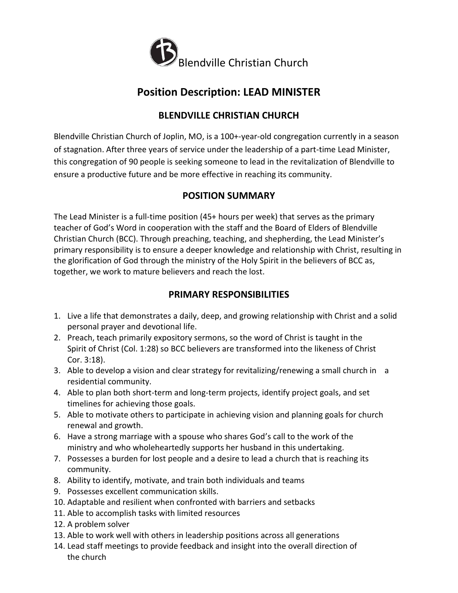

# **Position Description: LEAD MINISTER**

## **BLENDVILLE CHRISTIAN CHURCH**

Blendville Christian Church of Joplin, MO, is a 100+-year-old congregation currently in a season of stagnation. After three years of service under the leadership of a part-time Lead Minister, this congregation of 90 people is seeking someone to lead in the revitalization of Blendville to ensure a productive future and be more effective in reaching its community.

## **POSITION SUMMARY**

The Lead Minister is a full-time position (45+ hours per week) that serves as the primary teacher of God's Word in cooperation with the staff and the Board of Elders of Blendville Christian Church (BCC). Through preaching, teaching, and shepherding, the Lead Minister's primary responsibility is to ensure a deeper knowledge and relationship with Christ, resulting in the glorification of God through the ministry of the Holy Spirit in the believers of BCC as, together, we work to mature believers and reach the lost.

## **PRIMARY RESPONSIBILITIES**

- 1. Live a life that demonstrates a daily, deep, and growing relationship with Christ and a solid personal prayer and devotional life.
- 2. Preach, teach primarily expository sermons, so the word of Christ is taught in the Spirit of Christ (Col. 1:28) so BCC believers are transformed into the likeness of Christ Cor. 3:18).
- 3. Able to develop a vision and clear strategy for revitalizing/renewing a small church in a residential community.
- 4. Able to plan both short-term and long-term projects, identify project goals, and set timelines for achieving those goals.
- 5. Able to motivate others to participate in achieving vision and planning goals for church renewal and growth.
- 6. Have a strong marriage with a spouse who shares God's call to the work of the ministry and who wholeheartedly supports her husband in this undertaking.
- 7. Possesses a burden for lost people and a desire to lead a church that is reaching its community.
- 8. Ability to identify, motivate, and train both individuals and teams
- 9. Possesses excellent communication skills.
- 10. Adaptable and resilient when confronted with barriers and setbacks
- 11. Able to accomplish tasks with limited resources
- 12. A problem solver
- 13. Able to work well with others in leadership positions across all generations
- 14. Lead staff meetings to provide feedback and insight into the overall direction of the church